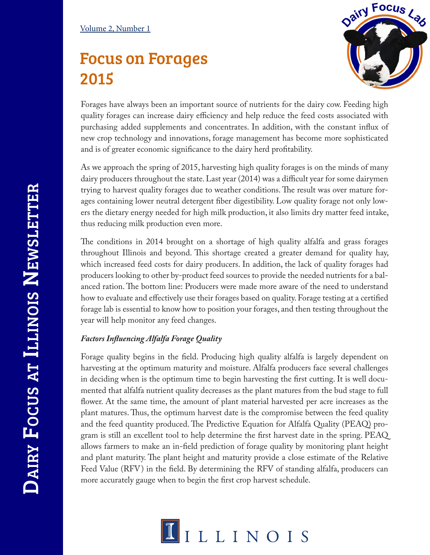### Volume 2, Number 1

# Focus on Forages 2015



Forages have always been an important source of nutrients for the dairy cow. Feeding high quality forages can increase dairy efficiency and help reduce the feed costs associated with purchasing added supplements and concentrates. In addition, with the constant infux of new crop technology and innovations, forage management has become more sophisticated and is of greater economic signifcance to the dairy herd proftability.

As we approach the spring of 2015, harvesting high quality forages is on the minds of many dairy producers throughout the state. Last year (2014) was a difficult year for some dairymen trying to harvest quality forages due to weather conditions. The result was over mature forages containing lower neutral detergent fber digestibility. Low quality forage not only lowers the dietary energy needed for high milk production, it also limits dry matter feed intake, thus reducing milk production even more.

The conditions in 2014 brought on a shortage of high quality alfalfa and grass forages throughout Illinois and beyond. This shortage created a greater demand for quality hay, which increased feed costs for dairy producers. In addition, the lack of quality forages had producers looking to other by-product feed sources to provide the needed nutrients for a balanced ration. The bottom line: Producers were made more aware of the need to understand how to evaluate and efectively use their forages based on quality. Forage testing at a certifed forage lab is essential to know how to position your forages, and then testing throughout the year will help monitor any feed changes.

## *Factors Infuencing Alfalfa Forage Quality*

Forage quality begins in the feld. Producing high quality alfalfa is largely dependent on harvesting at the optimum maturity and moisture. Alfalfa producers face several challenges in deciding when is the optimum time to begin harvesting the frst cutting. It is well documented that alfalfa nutrient quality decreases as the plant matures from the bud stage to full fower. At the same time, the amount of plant material harvested per acre increases as the plant matures. Thus, the optimum harvest date is the compromise between the feed quality and the feed quantity produced. The Predictive Equation for Alfalfa Quality (PEAQ) program is still an excellent tool to help determine the frst harvest date in the spring. PEAQ allows farmers to make an in-feld prediction of forage quality by monitoring plant height and plant maturity. The plant height and maturity provide a close estimate of the Relative Feed Value (RFV) in the feld. By determining the RFV of standing alfalfa, producers can more accurately gauge when to begin the frst crop harvest schedule.

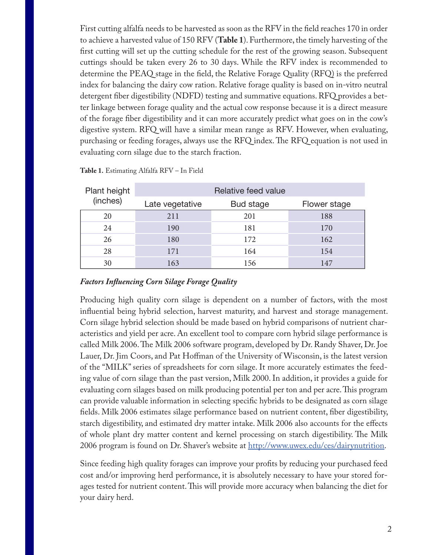First cutting alfalfa needs to be harvested as soon as the RFV in the feld reaches 170 in order to achieve a harvested value of 150 RFV (**Table 1**). Furthermore, the timely harvesting of the frst cutting will set up the cutting schedule for the rest of the growing season. Subsequent cuttings should be taken every 26 to 30 days. While the RFV index is recommended to determine the PEAQ stage in the feld, the Relative Forage Quality (RFQ) is the preferred index for balancing the dairy cow ration. Relative forage quality is based on in-vitro neutral detergent fber digestibility (NDFD) testing and summative equations. RFQ provides a better linkage between forage quality and the actual cow response because it is a direct measure of the forage fber digestibility and it can more accurately predict what goes on in the cow's digestive system. RFQ will have a similar mean range as RFV. However, when evaluating, purchasing or feeding forages, always use the RFQ index. The RFQ equation is not used in evaluating corn silage due to the starch fraction.

| Plant height<br>(inches) | Relative feed value |           |              |  |  |  |
|--------------------------|---------------------|-----------|--------------|--|--|--|
|                          | Late vegetative     | Bud stage | Flower stage |  |  |  |
| 20                       | 211                 | 201       | 188          |  |  |  |
| 24                       | 190                 | 181       | 170          |  |  |  |
| 26                       | 180                 | 172       | 162          |  |  |  |
| 28                       | 171                 | 164       | 154          |  |  |  |
| 30                       | 163                 | 156       | 147          |  |  |  |

**Table 1.** Estimating Alfalfa RFV – In Field

#### *Factors Infuencing Corn Silage Forage Quality*

Producing high quality corn silage is dependent on a number of factors, with the most infuential being hybrid selection, harvest maturity, and harvest and storage management. Corn silage hybrid selection should be made based on hybrid comparisons of nutrient characteristics and yield per acre. An excellent tool to compare corn hybrid silage performance is called Milk 2006. The Milk 2006 software program, developed by Dr. Randy Shaver, Dr. Joe Lauer, Dr. Jim Coors, and Pat Hofman of the University of Wisconsin, is the latest version of the "MILK" series of spreadsheets for corn silage. It more accurately estimates the feeding value of corn silage than the past version, Milk 2000. In addition, it provides a guide for evaluating corn silages based on milk producing potential per ton and per acre. This program can provide valuable information in selecting specifc hybrids to be designated as corn silage felds. Milk 2006 estimates silage performance based on nutrient content, fber digestibility, starch digestibility, and estimated dry matter intake. Milk 2006 also accounts for the efects of whole plant dry matter content and kernel processing on starch digestibility. The Milk 2006 program is found on Dr. Shaver's website at<http://www.uwex.edu/ces/dairynutrition>.

Since feeding high quality forages can improve your profts by reducing your purchased feed cost and/or improving herd performance, it is absolutely necessary to have your stored forages tested for nutrient content. This will provide more accuracy when balancing the diet for your dairy herd.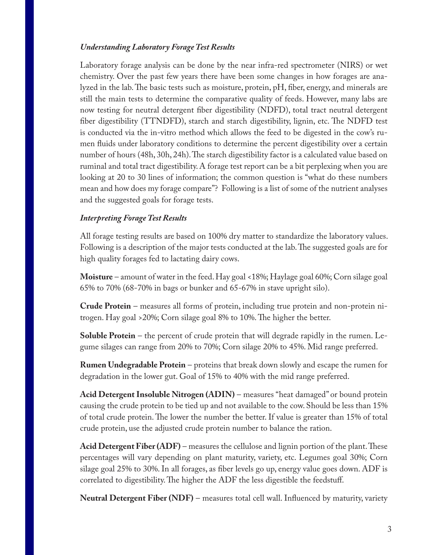#### *Understanding Laboratory Forage Test Results*

Laboratory forage analysis can be done by the near infra-red spectrometer (NIRS) or wet chemistry. Over the past few years there have been some changes in how forages are analyzed in the lab. The basic tests such as moisture, protein,  $pH$ , fiber, energy, and minerals are still the main tests to determine the comparative quality of feeds. However, many labs are now testing for neutral detergent fber digestibility (NDFD), total tract neutral detergent fiber digestibility (TTNDFD), starch and starch digestibility, lignin, etc. The NDFD test is conducted via the in-vitro method which allows the feed to be digested in the cow's rumen fuids under laboratory conditions to determine the percent digestibility over a certain number of hours (48h, 30h, 24h). The starch digestibility factor is a calculated value based on ruminal and total tract digestibility. A forage test report can be a bit perplexing when you are looking at 20 to 30 lines of information; the common question is "what do these numbers mean and how does my forage compare"? Following is a list of some of the nutrient analyses and the suggested goals for forage tests.

#### *Interpreting Forage Test Results*

All forage testing results are based on 100% dry matter to standardize the laboratory values. Following is a description of the major tests conducted at the lab. The suggested goals are for high quality forages fed to lactating dairy cows.

**Moisture** – amount of water in the feed. Hay goal <18%; Haylage goal 60%; Corn silage goal 65% to 70% (68-70% in bags or bunker and 65-67% in stave upright silo).

**Crude Protein** – measures all forms of protein, including true protein and non-protein nitrogen. Hay goal >20%; Corn silage goal 8% to 10%. The higher the better.

**Soluble Protein** – the percent of crude protein that will degrade rapidly in the rumen. Legume silages can range from 20% to 70%; Corn silage 20% to 45%. Mid range preferred.

**Rumen Undegradable Protein** – proteins that break down slowly and escape the rumen for degradation in the lower gut. Goal of 15% to 40% with the mid range preferred.

**Acid Detergent Insoluble Nitrogen (ADIN)** – measures "heat damaged" or bound protein causing the crude protein to be tied up and not available to the cow. Should be less than 15% of total crude protein. The lower the number the better. If value is greater than 15% of total crude protein, use the adjusted crude protein number to balance the ration.

Acid Detergent Fiber (ADF) – measures the cellulose and lignin portion of the plant. These percentages will vary depending on plant maturity, variety, etc. Legumes goal 30%; Corn silage goal 25% to 30%. In all forages, as fber levels go up, energy value goes down. ADF is correlated to digestibility. The higher the ADF the less digestible the feedstuff.

**Neutral Detergent Fiber (NDF)** – measures total cell wall. Infuenced by maturity, variety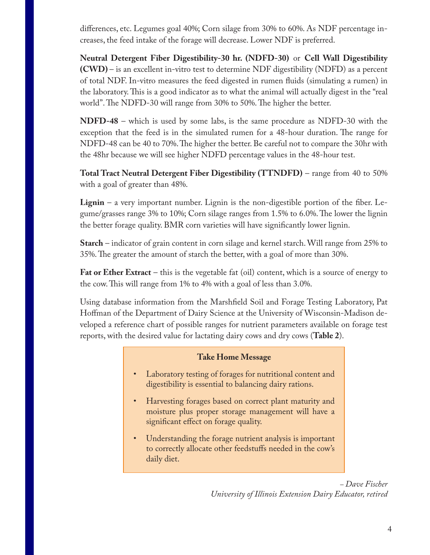diferences, etc. Legumes goal 40%; Corn silage from 30% to 60%. As NDF percentage increases, the feed intake of the forage will decrease. Lower NDF is preferred.

**Neutral Detergent Fiber Digestibility-30 hr. (NDFD-30)** or **Cell Wall Digestibility (CWD)** – is an excellent in-vitro test to determine NDF digestibility (NDFD) as a percent of total NDF. In-vitro measures the feed digested in rumen fuids (simulating a rumen) in the laboratory. This is a good indicator as to what the animal will actually digest in the "real world". The NDFD-30 will range from 30% to 50%. The higher the better.

**NDFD-48** – which is used by some labs, is the same procedure as NDFD-30 with the exception that the feed is in the simulated rumen for a 48-hour duration. The range for NDFD-48 can be 40 to 70%. The higher the better. Be careful not to compare the 30hr with the 48hr because we will see higher NDFD percentage values in the 48-hour test.

**Total Tract Neutral Detergent Fiber Digestibility (TTNDFD)** – range from 40 to 50% with a goal of greater than 48%.

**Lignin** – a very important number. Lignin is the non-digestible portion of the fiber. Legume/grasses range 3% to 10%; Corn silage ranges from 1.5% to 6.0%. The lower the lignin the better forage quality. BMR corn varieties will have signifcantly lower lignin.

**Starch** – indicator of grain content in corn silage and kernel starch. Will range from 25% to 35%. The greater the amount of starch the better, with a goal of more than 30%.

**Fat or Ether Extract** – this is the vegetable fat (oil) content, which is a source of energy to the cow. This will range from 1% to 4% with a goal of less than 3.0%.

Using database information from the Marshfeld Soil and Forage Testing Laboratory, Pat Hofman of the Department of Dairy Science at the University of Wisconsin-Madison developed a reference chart of possible ranges for nutrient parameters available on forage test reports, with the desired value for lactating dairy cows and dry cows (**Table 2**).

#### **Take Home Message**

- Laboratory testing of forages for nutritional content and digestibility is essential to balancing dairy rations.
- Harvesting forages based on correct plant maturity and moisture plus proper storage management will have a signifcant efect on forage quality.
- Understanding the forage nutrient analysis is important to correctly allocate other feedstufs needed in the cow's daily diet.

*– Dave Fischer University of Illinois Extension Dairy Educator, retired*